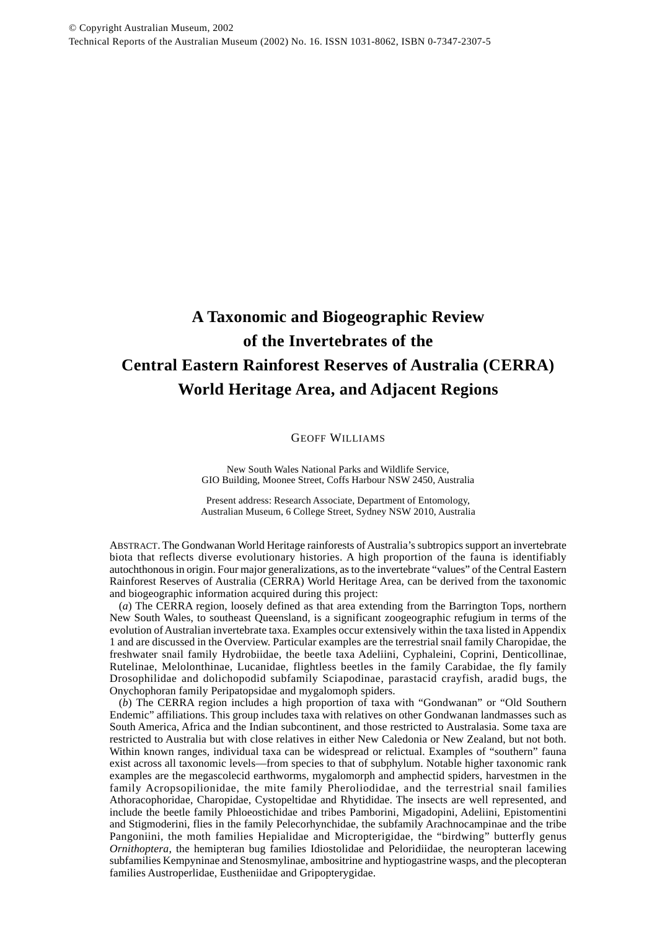# **A Taxonomic and Biogeographic Review of the Invertebrates of the Central Eastern Rainforest Reserves of Australia (CERRA) World Heritage Area, and Adjacent Regions**

GEOFF WILLIAMS

New South Wales National Parks and Wildlife Service, GIO Building, Moonee Street, Coffs Harbour NSW 2450, Australia

Present address: Research Associate, Department of Entomology, Australian Museum, 6 College Street, Sydney NSW 2010, Australia

ABSTRACT. The Gondwanan World Heritage rainforests of Australia's subtropics support an invertebrate biota that reflects diverse evolutionary histories. A high proportion of the fauna is identifiably autochthonous in origin. Four major generalizations, as to the invertebrate "values" of the Central Eastern Rainforest Reserves of Australia (CERRA) World Heritage Area, can be derived from the taxonomic and biogeographic information acquired during this project:

(*a*) The CERRA region, loosely defined as that area extending from the Barrington Tops, northern New South Wales, to southeast Queensland, is a significant zoogeographic refugium in terms of the evolution of Australian invertebrate taxa. Examples occur extensively within the taxa listed in Appendix 1 and are discussed in the Overview. Particular examples are the terrestrial snail family Charopidae, the freshwater snail family Hydrobiidae, the beetle taxa Adeliini, Cyphaleini, Coprini, Denticollinae, Rutelinae, Melolonthinae, Lucanidae, flightless beetles in the family Carabidae, the fly family Drosophilidae and dolichopodid subfamily Sciapodinae, parastacid crayfish, aradid bugs, the Onychophoran family Peripatopsidae and mygalomoph spiders.

(*b*) The CERRA region includes a high proportion of taxa with "Gondwanan" or "Old Southern Endemic" affiliations. This group includes taxa with relatives on other Gondwanan landmasses such as South America, Africa and the Indian subcontinent, and those restricted to Australasia. Some taxa are restricted to Australia but with close relatives in either New Caledonia or New Zealand, but not both. Within known ranges, individual taxa can be widespread or relictual. Examples of "southern" fauna exist across all taxonomic levels—from species to that of subphylum. Notable higher taxonomic rank examples are the megascolecid earthworms, mygalomorph and amphectid spiders, harvestmen in the family Acropsopilionidae, the mite family Pheroliodidae, and the terrestrial snail families Athoracophoridae, Charopidae, Cystopeltidae and Rhytididae. The insects are well represented, and include the beetle family Phloeostichidae and tribes Pamborini, Migadopini, Adeliini, Epistomentini and Stigmoderini, flies in the family Pelecorhynchidae, the subfamily Arachnocampinae and the tribe Pangoniini, the moth families Hepialidae and Micropterigidae, the "birdwing" butterfly genus *Ornithoptera*, the hemipteran bug families Idiostolidae and Peloridiidae, the neuropteran lacewing subfamilies Kempyninae and Stenosmylinae, ambositrine and hyptiogastrine wasps, and the plecopteran families Austroperlidae, Eustheniidae and Gripopterygidae.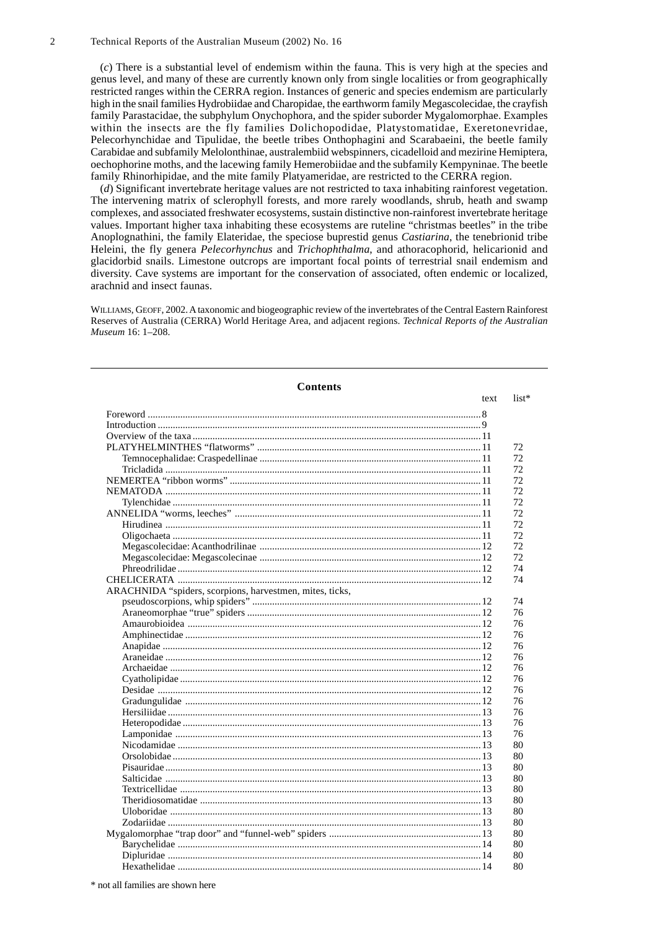(*c*) There is a substantial level of endemism within the fauna. This is very high at the species and genus level, and many of these are currently known only from single localities or from geographically restricted ranges within the CERRA region. Instances of generic and species endemism are particularly high in the snail families Hydrobiidae and Charopidae, the earthworm family Megascolecidae, the crayfish family Parastacidae, the subphylum Onychophora, and the spider suborder Mygalomorphae. Examples within the insects are the fly families Dolichopodidae, Platystomatidae, Exeretonevridae, Pelecorhynchidae and Tipulidae, the beetle tribes Onthophagini and Scarabaeini, the beetle family Carabidae and subfamily Melolonthinae, australembiid webspinners, cicadelloid and mezirine Hemiptera, oechophorine moths, and the lacewing family Hemerobiidae and the subfamily Kempyninae. The beetle family Rhinorhipidae, and the mite family Platyameridae, are restricted to the CERRA region.

(*d*) Significant invertebrate heritage values are not restricted to taxa inhabiting rainforest vegetation. The intervening matrix of sclerophyll forests, and more rarely woodlands, shrub, heath and swamp complexes, and associated freshwater ecosystems, sustain distinctive non-rainforest invertebrate heritage values. Important higher taxa inhabiting these ecosystems are ruteline "christmas beetles" in the tribe Anoplognathini, the family Elateridae, the speciose buprestid genus *Castiarina*, the tenebrionid tribe Heleini, the fly genera *Pelecorhynchus* and *Trichophthalma*, and athoracophorid, helicarionid and glacidorbid snails. Limestone outcrops are important focal points of terrestrial snail endemism and diversity. Cave systems are important for the conservation of associated, often endemic or localized, arachnid and insect faunas.

WILLIAMS, GEOFF, 2002. A taxonomic and biogeographic review of the invertebrates of the Central Eastern Rainforest Reserves of Australia (CERRA) World Heritage Area, and adjacent regions. *Technical Reports of the Australian Museum* 16: 1–208.

| <b>Contents</b>                                          |      |         |
|----------------------------------------------------------|------|---------|
|                                                          | text | $list*$ |
|                                                          |      |         |
|                                                          |      |         |
|                                                          |      |         |
|                                                          |      | 72      |
|                                                          |      | 72      |
|                                                          |      | 72      |
|                                                          |      | 72      |
|                                                          |      | 72      |
|                                                          |      | 72      |
|                                                          |      | 72      |
|                                                          |      | 72      |
|                                                          |      | 72      |
|                                                          |      | 72      |
|                                                          |      | 72      |
|                                                          |      | 74      |
|                                                          |      | 74      |
| ARACHNIDA "spiders, scorpions, harvestmen, mites, ticks, |      |         |
|                                                          |      | 74      |
|                                                          |      | 76      |
|                                                          |      | 76      |
|                                                          |      | 76      |
|                                                          |      | 76      |
|                                                          |      | 76      |
|                                                          |      | 76      |
|                                                          |      | 76      |
|                                                          |      | 76      |
|                                                          |      | 76      |
|                                                          |      | 76      |
|                                                          |      | 76      |
|                                                          |      | 76      |
|                                                          |      | 80      |
|                                                          |      | 80      |
|                                                          |      | 80      |
|                                                          |      | 80      |
|                                                          |      | 80      |
|                                                          |      | 80      |
|                                                          |      | 80      |
|                                                          |      | 80      |
|                                                          |      | 80      |
|                                                          |      | 80      |
|                                                          |      | 80      |
|                                                          |      | 80      |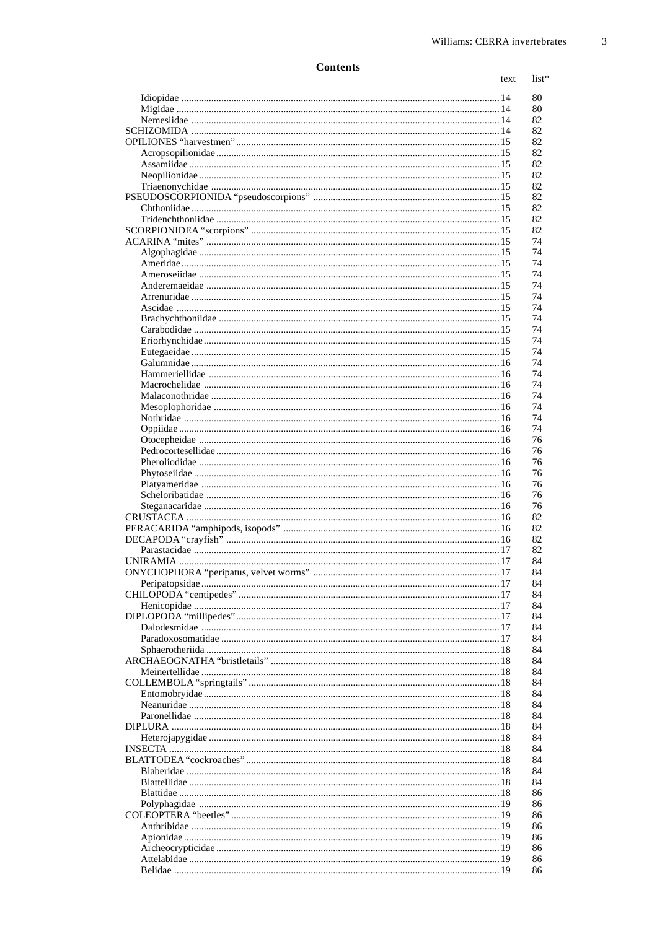|  | text |
|--|------|
|  |      |
|  |      |
|  |      |
|  |      |
|  |      |
|  |      |
|  |      |
|  |      |
|  |      |
|  |      |
|  |      |
|  |      |
|  |      |
|  |      |
|  |      |
|  |      |
|  |      |
|  |      |
|  |      |
|  |      |
|  |      |
|  |      |
|  |      |
|  |      |
|  |      |
|  |      |
|  |      |
|  |      |
|  |      |
|  |      |
|  |      |
|  |      |
|  |      |
|  |      |
|  |      |
|  |      |
|  |      |
|  |      |
|  |      |
|  |      |
|  |      |
|  |      |
|  |      |
|  |      |
|  |      |
|  |      |
|  |      |
|  |      |
|  |      |
|  |      |
|  |      |
|  |      |
|  |      |
|  |      |
|  |      |
|  |      |
|  |      |
|  |      |
|  |      |
|  |      |
|  |      |
|  |      |
|  |      |
|  |      |
|  |      |
|  |      |
|  |      |
|  |      |
|  |      |
|  |      |
|  |      |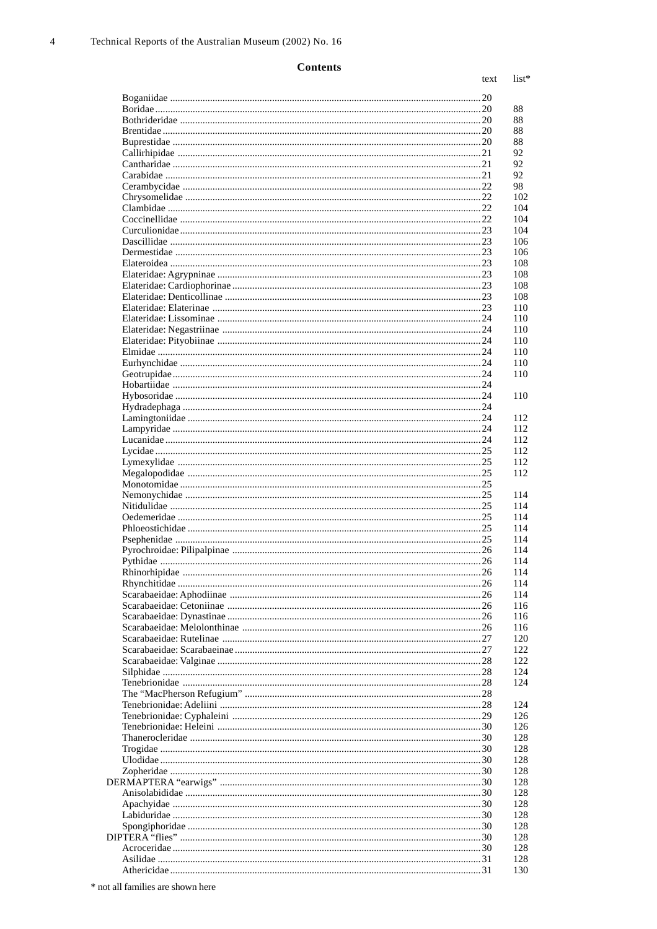text list\*

| 26 |
|----|
|    |
|    |
|    |
|    |
|    |
|    |
|    |
|    |
|    |
|    |
|    |
|    |
|    |
|    |
|    |
|    |
|    |
|    |
|    |
|    |
|    |
|    |
|    |
|    |
|    |
|    |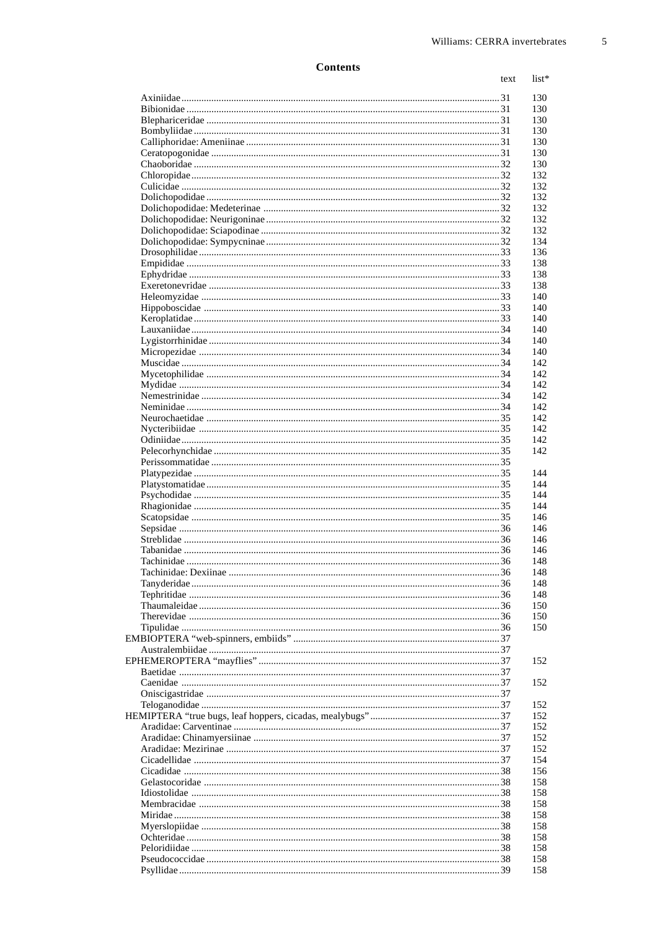| text |
|------|
|      |
|      |
|      |
|      |
|      |
|      |
|      |
|      |
|      |
|      |
|      |
|      |
|      |
|      |
|      |
|      |
|      |
|      |
|      |
|      |
|      |
|      |
|      |
|      |
|      |
|      |
|      |
|      |
|      |
|      |
|      |
|      |
|      |
|      |
|      |
|      |
|      |
|      |
|      |
|      |
|      |
|      |
|      |
|      |
|      |
|      |
|      |
|      |
|      |
|      |
|      |
|      |
|      |
|      |
|      |
|      |
|      |
|      |
|      |
|      |
|      |
|      |
|      |
|      |
|      |
|      |
|      |
|      |
|      |
|      |
|      |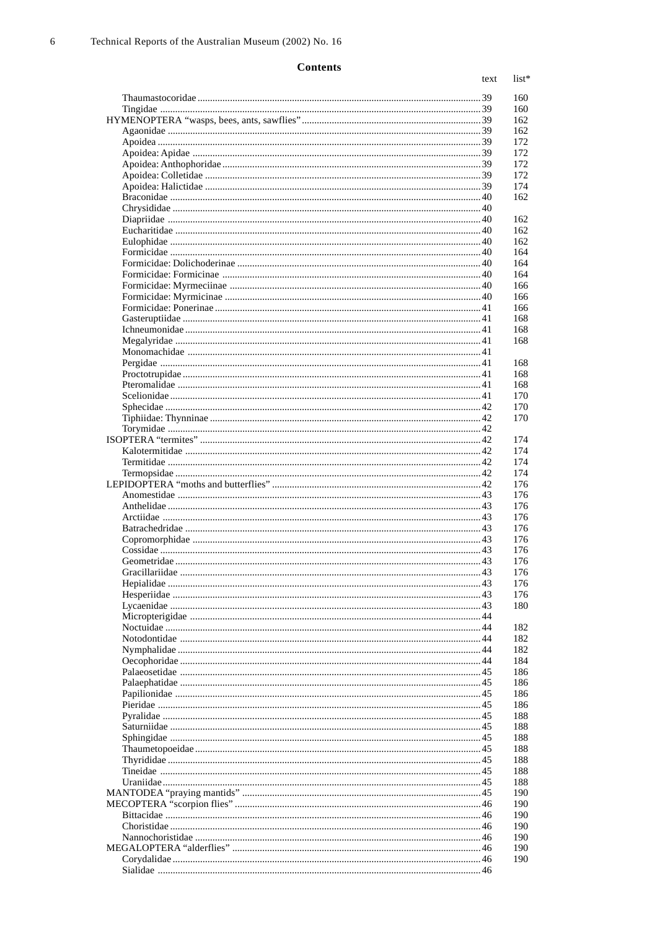#### $text$  $list*$ Tingidae 39  $I$ chneumonidae  $\ldots$ Sphecidae 22  $K$ alotermitidae  $\Delta$ 2 Anthelidae 43 Arctiidae 43